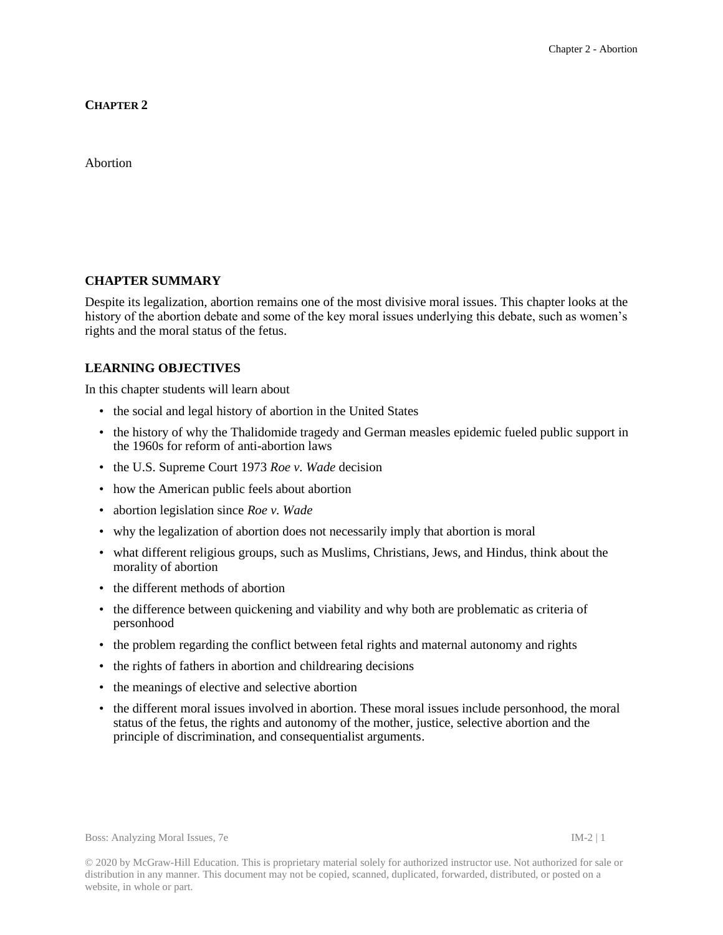**CHAPTER 2**

Abortion

### **CHAPTER SUMMARY**

Despite its legalization, abortion remains one of the most divisive moral issues. This chapter looks at the history of the abortion debate and some of the key moral issues underlying this debate, such as women's rights and the moral status of the fetus.

## **LEARNING OBJECTIVES**

In this chapter students will learn about

- the social and legal history of abortion in the United States
- the history of why the Thalidomide tragedy and German measles epidemic fueled public support in the 1960s for reform of anti-abortion laws
- the U.S. Supreme Court 1973 *Roe v. Wade* decision
- how the American public feels about abortion
- abortion legislation since *Roe v. Wade*
- why the legalization of abortion does not necessarily imply that abortion is moral
- what different religious groups, such as Muslims, Christians, Jews, and Hindus, think about the morality of abortion
- the different methods of abortion
- the difference between quickening and viability and why both are problematic as criteria of personhood
- the problem regarding the conflict between fetal rights and maternal autonomy and rights
- the rights of fathers in abortion and childrearing decisions
- the meanings of elective and selective abortion
- the different moral issues involved in abortion. These moral issues include personhood, the moral status of the fetus, the rights and autonomy of the mother, justice, selective abortion and the principle of discrimination, and consequentialist arguments.

Boss: Analyzing Moral Issues, 7e IM-2 | 1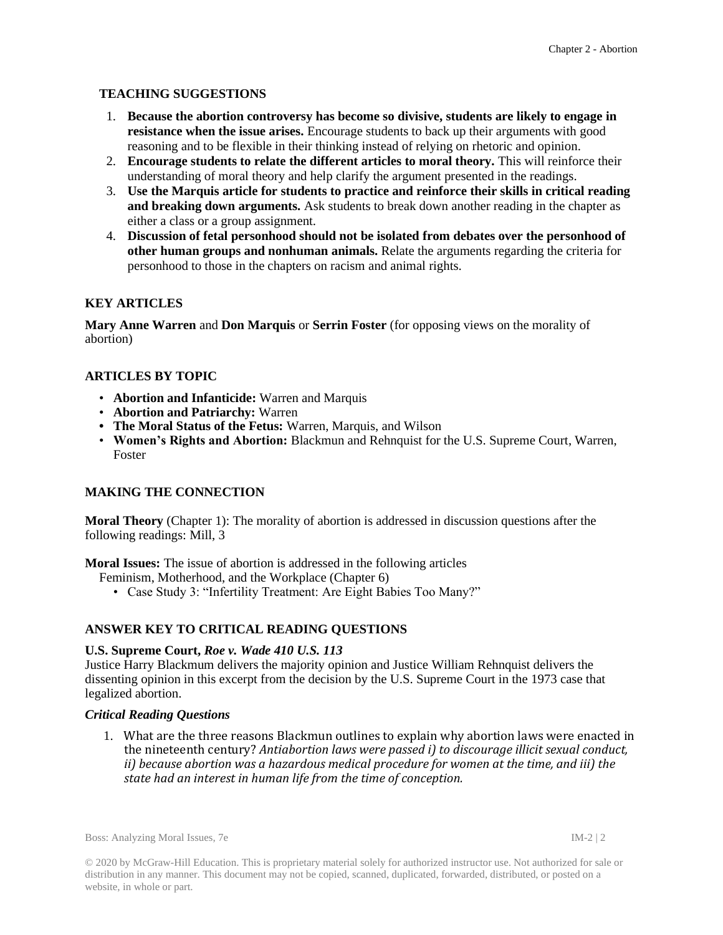# **TEACHING SUGGESTIONS**

- 1. **Because the abortion controversy has become so divisive, students are likely to engage in resistance when the issue arises.** Encourage students to back up their arguments with good reasoning and to be flexible in their thinking instead of relying on rhetoric and opinion.
- 2. **Encourage students to relate the different articles to moral theory.** This will reinforce their understanding of moral theory and help clarify the argument presented in the readings.
- 3. **Use the Marquis article for students to practice and reinforce their skills in critical reading and breaking down arguments.** Ask students to break down another reading in the chapter as either a class or a group assignment.
- 4. **Discussion of fetal personhood should not be isolated from debates over the personhood of other human groups and nonhuman animals.** Relate the arguments regarding the criteria for personhood to those in the chapters on racism and animal rights.

# **KEY ARTICLES**

**Mary Anne Warren** and **Don Marquis** or **Serrin Foster** (for opposing views on the morality of abortion)

# **ARTICLES BY TOPIC**

- **Abortion and Infanticide:** Warren and Marquis
- **Abortion and Patriarchy:** Warren
- **• The Moral Status of the Fetus:** Warren, Marquis, and Wilson
- **Women's Rights and Abortion:** Blackmun and Rehnquist for the U.S. Supreme Court, Warren, Foster

## **MAKING THE CONNECTION**

**Moral Theory** (Chapter 1): The morality of abortion is addressed in discussion questions after the following readings: Mill, 3

**Moral Issues:** The issue of abortion is addressed in the following articles

- Feminism, Motherhood, and the Workplace (Chapter 6)
	- Case Study 3: "Infertility Treatment: Are Eight Babies Too Many?"

## **ANSWER KEY TO CRITICAL READING QUESTIONS**

#### **U.S. Supreme Court,** *Roe v. Wade 410 U.S. 113*

Justice Harry Blackmum delivers the majority opinion and Justice William Rehnquist delivers the dissenting opinion in this excerpt from the decision by the U.S. Supreme Court in the 1973 case that legalized abortion.

#### *Critical Reading Questions*

1. What are the three reasons Blackmun outlines to explain why abortion laws were enacted in the nineteenth century? *Antiabortion laws were passed i) to discourage illicit sexual conduct, ii) because abortion was a hazardous medical procedure for women at the time, and iii) the state had an interest in human life from the time of conception.*

Boss: Analyzing Moral Issues, 7e IM-2 | 2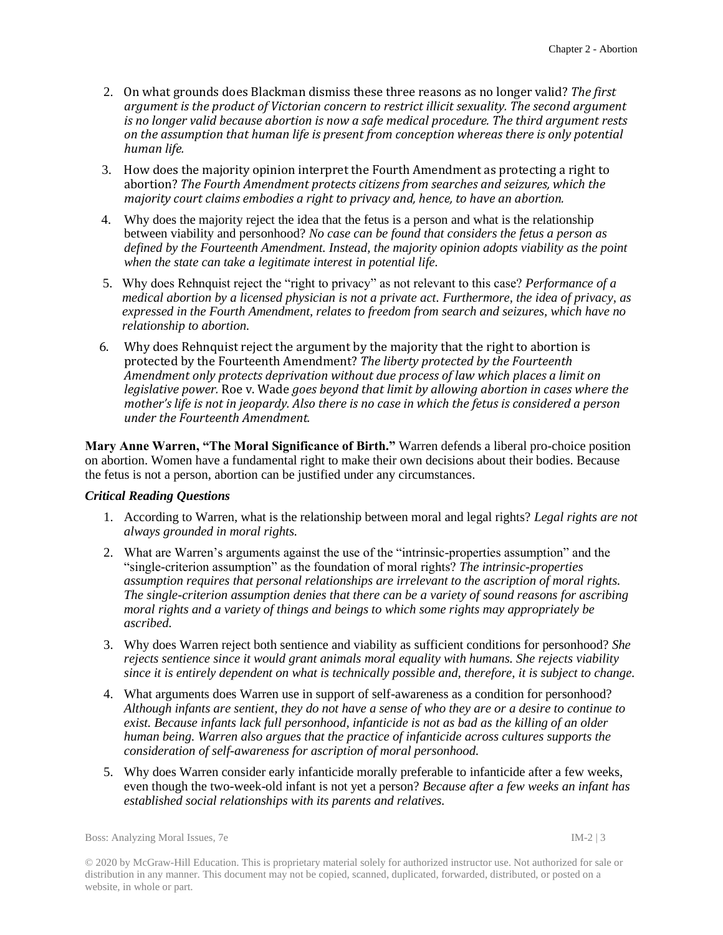- 2. On what grounds does Blackman dismiss these three reasons as no longer valid? *The first argument is the product of Victorian concern to restrict illicit sexuality. The second argument is no longer valid because abortion is now a safe medical procedure. The third argument rests on the assumption that human life is present from conception whereas there is only potential human life.*
- 3. How does the majority opinion interpret the Fourth Amendment as protecting a right to abortion? *The Fourth Amendment protects citizens from searches and seizures, which the majority court claims embodies a right to privacy and, hence, to have an abortion.*
- 4. Why does the majority reject the idea that the fetus is a person and what is the relationship between viability and personhood? *No case can be found that considers the fetus a person as defined by the Fourteenth Amendment. Instead, the majority opinion adopts viability as the point when the state can take a legitimate interest in potential life.*
- 5. Why does Rehnquist reject the "right to privacy" as not relevant to this case? *Performance of a medical abortion by a licensed physician is not a private act. Furthermore, the idea of privacy, as expressed in the Fourth Amendment, relates to freedom from search and seizures, which have no relationship to abortion.*
- 6. Why does Rehnquist reject the argument by the majority that the right to abortion is protected by the Fourteenth Amendment? *The liberty protected by the Fourteenth Amendment only protects deprivation without due process of law which places a limit on legislative power.* Roe v. Wade *goes beyond that limit by allowing abortion in cases where the mother's life is not in jeopardy. Also there is no case in which the fetus is considered a person under the Fourteenth Amendment.*

**Mary Anne Warren, "The Moral Significance of Birth."** Warren defends a liberal pro-choice position on abortion. Women have a fundamental right to make their own decisions about their bodies. Because the fetus is not a person, abortion can be justified under any circumstances.

#### *Critical Reading Questions*

- 1. According to Warren, what is the relationship between moral and legal rights? *Legal rights are not always grounded in moral rights.*
- 2. What are Warren's arguments against the use of the "intrinsic-properties assumption" and the "single-criterion assumption" as the foundation of moral rights? *The intrinsic-properties assumption requires that personal relationships are irrelevant to the ascription of moral rights. The single-criterion assumption denies that there can be a variety of sound reasons for ascribing moral rights and a variety of things and beings to which some rights may appropriately be ascribed.*
- 3. Why does Warren reject both sentience and viability as sufficient conditions for personhood? *She rejects sentience since it would grant animals moral equality with humans. She rejects viability since it is entirely dependent on what is technically possible and, therefore, it is subject to change.*
- 4. What arguments does Warren use in support of self-awareness as a condition for personhood? *Although infants are sentient, they do not have a sense of who they are or a desire to continue to exist. Because infants lack full personhood, infanticide is not as bad as the killing of an older human being. Warren also argues that the practice of infanticide across cultures supports the consideration of self-awareness for ascription of moral personhood.*
- 5. Why does Warren consider early infanticide morally preferable to infanticide after a few weeks, even though the two-week-old infant is not yet a person? *Because after a few weeks an infant has established social relationships with its parents and relatives.*

Boss: Analyzing Moral Issues, 7e IM-2 | 3

© 2020 by McGraw-Hill Education. This is proprietary material solely for authorized instructor use. Not authorized for sale or distribution in any manner. This document may not be copied, scanned, duplicated, forwarded, distributed, or posted on a website, in whole or part.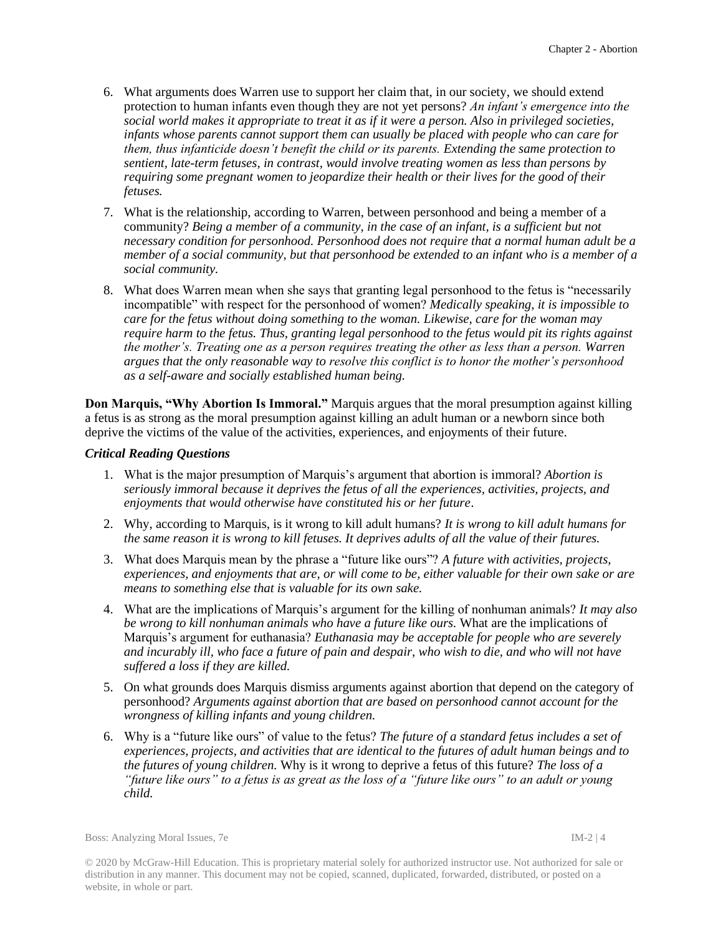- 6. What arguments does Warren use to support her claim that, in our society, we should extend protection to human infants even though they are not yet persons? *An infant's emergence into the social world makes it appropriate to treat it as if it were a person. Also in privileged societies, infants whose parents cannot support them can usually be placed with people who can care for them, thus infanticide doesn't benefit the child or its parents. Extending the same protection to sentient, late-term fetuses, in contrast, would involve treating women as less than persons by requiring some pregnant women to jeopardize their health or their lives for the good of their fetuses.*
- 7. What is the relationship, according to Warren, between personhood and being a member of a community? *Being a member of a community, in the case of an infant, is a sufficient but not necessary condition for personhood. Personhood does not require that a normal human adult be a member of a social community, but that personhood be extended to an infant who is a member of a social community.*
- 8. What does Warren mean when she says that granting legal personhood to the fetus is "necessarily incompatible" with respect for the personhood of women? *Medically speaking, it is impossible to care for the fetus without doing something to the woman. Likewise, care for the woman may require harm to the fetus. Thus, granting legal personhood to the fetus would pit its rights against the mother's. Treating one as a person requires treating the other as less than a person. Warren argues that the only reasonable way to resolve this conflict is to honor the mother's personhood as a self-aware and socially established human being.*

**Don Marquis, "Why Abortion Is Immoral."** Marquis argues that the moral presumption against killing a fetus is as strong as the moral presumption against killing an adult human or a newborn since both deprive the victims of the value of the activities, experiences, and enjoyments of their future.

#### *Critical Reading Questions*

- 1. What is the major presumption of Marquis's argument that abortion is immoral? *Abortion is seriously immoral because it deprives the fetus of all the experiences, activities, projects, and enjoyments that would otherwise have constituted his or her future*.
- 2. Why, according to Marquis, is it wrong to kill adult humans? *It is wrong to kill adult humans for the same reason it is wrong to kill fetuses. It deprives adults of all the value of their futures.*
- 3. What does Marquis mean by the phrase a "future like ours"? *A future with activities, projects, experiences, and enjoyments that are, or will come to be, either valuable for their own sake or are means to something else that is valuable for its own sake.*
- 4. What are the implications of Marquis's argument for the killing of nonhuman animals? *It may also be wrong to kill nonhuman animals who have a future like ours.* What are the implications of Marquis's argument for euthanasia? *Euthanasia may be acceptable for people who are severely and incurably ill, who face a future of pain and despair, who wish to die, and who will not have suffered a loss if they are killed.*
- 5. On what grounds does Marquis dismiss arguments against abortion that depend on the category of personhood? *Arguments against abortion that are based on personhood cannot account for the wrongness of killing infants and young children.*
- 6. Why is a "future like ours" of value to the fetus? *The future of a standard fetus includes a set of experiences, projects, and activities that are identical to the futures of adult human beings and to the futures of young children.* Why is it wrong to deprive a fetus of this future? *The loss of a "future like ours" to a fetus is as great as the loss of a "future like ours" to an adult or young child.*

Boss: Analyzing Moral Issues, 7e IM-2 | 4

© 2020 by McGraw-Hill Education. This is proprietary material solely for authorized instructor use. Not authorized for sale or distribution in any manner. This document may not be copied, scanned, duplicated, forwarded, distributed, or posted on a website, in whole or part.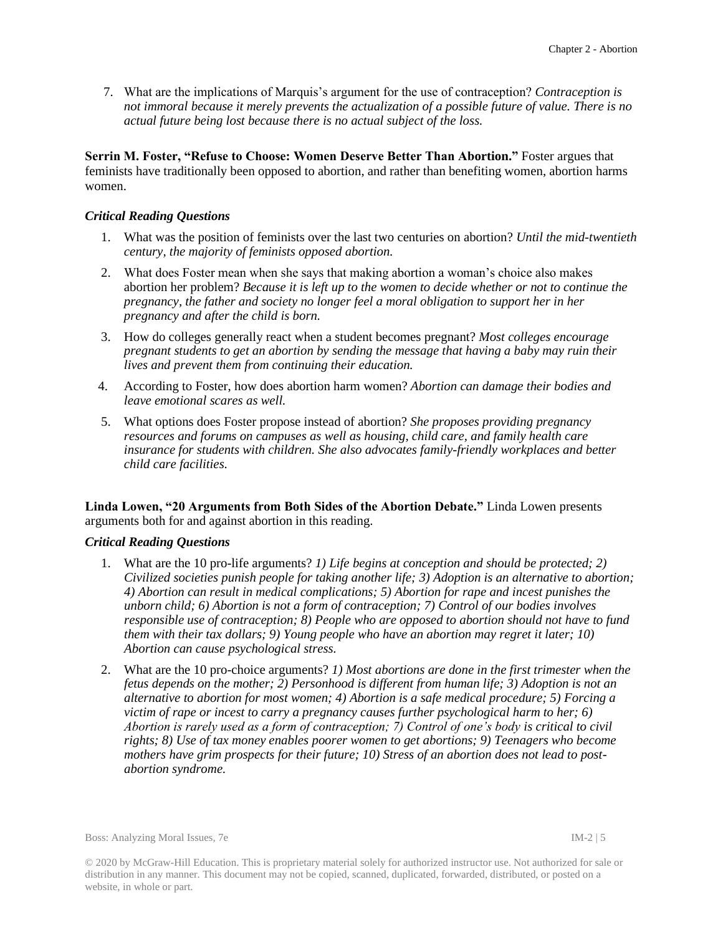7. What are the implications of Marquis's argument for the use of contraception? *Contraception is not immoral because it merely prevents the actualization of a possible future of value. There is no actual future being lost because there is no actual subject of the loss.*

**Serrin M. Foster, "Refuse to Choose: Women Deserve Better Than Abortion."** Foster argues that feminists have traditionally been opposed to abortion, and rather than benefiting women, abortion harms women.

### *Critical Reading Questions*

- 1. What was the position of feminists over the last two centuries on abortion? *Until the mid-twentieth century, the majority of feminists opposed abortion.*
- 2. What does Foster mean when she says that making abortion a woman's choice also makes abortion her problem? *Because it is left up to the women to decide whether or not to continue the pregnancy, the father and society no longer feel a moral obligation to support her in her pregnancy and after the child is born.*
- 3. How do colleges generally react when a student becomes pregnant? *Most colleges encourage pregnant students to get an abortion by sending the message that having a baby may ruin their lives and prevent them from continuing their education.*
- 4. According to Foster, how does abortion harm women? *Abortion can damage their bodies and leave emotional scares as well.*
- 5. What options does Foster propose instead of abortion? *She proposes providing pregnancy resources and forums on campuses as well as housing, child care, and family health care insurance for students with children. She also advocates family-friendly workplaces and better child care facilities.*

**Linda Lowen, "20 Arguments from Both Sides of the Abortion Debate."** Linda Lowen presents arguments both for and against abortion in this reading.

#### *Critical Reading Questions*

- 1. What are the 10 pro-life arguments? *1) Life begins at conception and should be protected; 2) Civilized societies punish people for taking another life; 3) Adoption is an alternative to abortion; 4) Abortion can result in medical complications; 5) Abortion for rape and incest punishes the unborn child; 6) Abortion is not a form of contraception; 7) Control of our bodies involves responsible use of contraception; 8) People who are opposed to abortion should not have to fund them with their tax dollars; 9) Young people who have an abortion may regret it later; 10) Abortion can cause psychological stress.*
- 2. What are the 10 pro-choice arguments? *1) Most abortions are done in the first trimester when the fetus depends on the mother; 2) Personhood is different from human life; 3) Adoption is not an alternative to abortion for most women; 4) Abortion is a safe medical procedure; 5) Forcing a victim of rape or incest to carry a pregnancy causes further psychological harm to her; 6) Abortion is rarely used as a form of contraception; 7) Control of one's body is critical to civil rights; 8) Use of tax money enables poorer women to get abortions; 9) Teenagers who become mothers have grim prospects for their future; 10) Stress of an abortion does not lead to postabortion syndrome.*

Boss: Analyzing Moral Issues, 7e IM-2 | 5